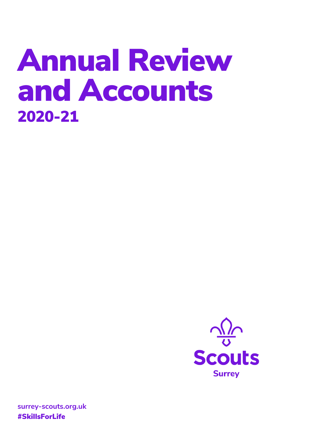# Annual Review and Accounts 2020-21



**surrey-scouts.org.uk** #SkillsForLife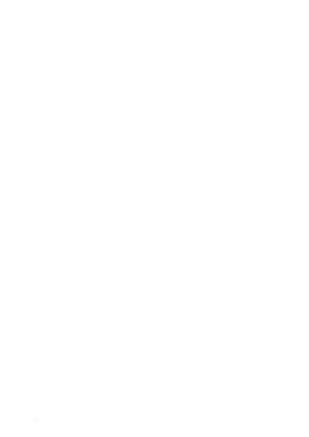Surrey Surrey Surrey Surrey Scouts Annual Review and Accounts 2020-21 2020-21 2020-21 2020-21 2020-21 2020-21<br>District Accounts 2020-21 2020-21 2020-21 2020-21 2020-21 2020-21 2020-21 2020-21 2020-21 2020-21 2020-21 2020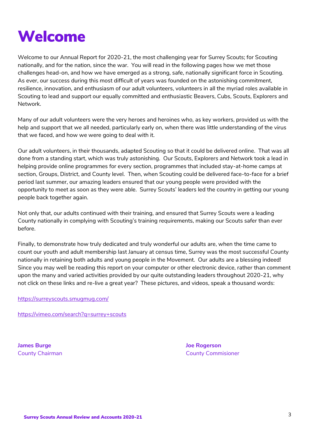# **Welcome**

Welcome to our Annual Report for 2020-21, the most challenging year for Surrey Scouts; for Scouting nationally, and for the nation, since the war. You will read in the following pages how we met those challenges head-on, and how we have emerged as a strong, safe, nationally significant force in Scouting. As ever, our success during this most difficult of years was founded on the astonishing commitment, resilience, innovation, and enthusiasm of our adult volunteers, volunteers in all the myriad roles available in Scouting to lead and support our equally committed and enthusiastic Beavers, Cubs, Scouts, Explorers and Network.

Many of our adult volunteers were the very heroes and heroines who, as key workers, provided us with the help and support that we all needed, particularly early on, when there was little understanding of the virus that we faced, and how we were going to deal with it.

Our adult volunteers, in their thousands, adapted Scouting so that it could be delivered online. That was all done from a standing start, which was truly astonishing. Our Scouts, Explorers and Network took a lead in helping provide online programmes for every section, programmes that included stay-at-home camps at section, Groups, District, and County level. Then, when Scouting could be delivered face-to-face for a brief period last summer, our amazing leaders ensured that our young people were provided with the opportunity to meet as soon as they were able. Surrey Scouts' leaders led the country in getting our young people back together again.

Not only that, our adults continued with their training, and ensured that Surrey Scouts were a leading County nationally in complying with Scouting's training requirements, making our Scouts safer than ever before.

Finally, to demonstrate how truly dedicated and truly wonderful our adults are, when the time came to count our youth and adult membership last January at census time, Surrey was the most successful County nationally in retaining both adults and young people in the Movement. Our adults are a blessing indeed! Since you may well be reading this report on your computer or other electronic device, rather than comment upon the many and varied activities provided by our quite outstanding leaders throughout 2020-21, why not click on these links and re-live a great year? These pictures, and videos, speak a thousand words:

<https://surreyscouts.smugmug.com/>

<https://vimeo.com/search?q=surrey+scouts>

**James Burge Joe Rogerson**

County Chairman County Commisioner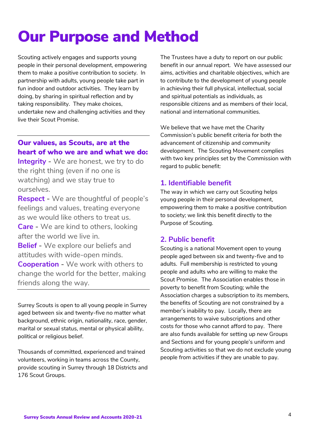# Our Purpose and Method

Scouting actively engages and supports young people in their personal development, empowering them to make a positive contribution to society. In partnership with adults, young people take part in fun indoor and outdoor activities. They learn by doing, by sharing in spiritual reflection and by taking responsibility. They make choices, undertake new and challenging activities and they live their Scout Promise.

## Our values, as Scouts, are at the heart of who we are and what we do:

**Integrity -** We are honest, we try to do the right thing (even if no one is watching) and we stay true to ourselves.

**Respect -** We are thoughtful of people's feelings and values, treating everyone as we would like others to treat us. **Care -** We are kind to others, looking after the world we live in. **Belief -** We explore our beliefs and attitudes with wide-open minds.

**Cooperation -** We work with others to change the world for the better, making friends along the way.

Surrey Scouts is open to all young people in Surrey aged between six and twenty-five no matter what background, ethnic origin, nationality, race, gender, marital or sexual status, mental or physical ability, political or religious belief.

Thousands of committed, experienced and trained volunteers, working in teams across the County, provide scouting in Surrey through 18 Districts and 176 Scout Groups.

The Trustees have a duty to report on our public benefit in our annual report. We have assessed our aims, activities and charitable objectives, which are to contribute to the development of young people in achieving their full physical, intellectual, social and spiritual potentials as individuals, as responsible citizens and as members of their local, national and international communities.

We believe that we have met the Charity Commission's public benefit criteria for both the advancement of citizenship and community development. The Scouting Movement complies with two key principles set by the Commission with regard to public benefit:

### **1. Identifiable benefit**

The way in which we carry out Scouting helps young people in their personal development, empowering them to make a positive contribution to society; we link this benefit directly to the Purpose of Scouting.

### **2. Public benefit**

Scouting is a national Movement open to young people aged between six and twenty-five and to adults. Full membership is restricted to young people and adults who are willing to make the Scout Promise. The Association enables those in poverty to benefit from Scouting; while the Association charges a subscription to its members, the benefits of Scouting are not constrained by a member's inability to pay. Locally, there are arrangements to waive subscriptions and other costs for those who cannot afford to pay. There are also funds available for setting up new Groups and Sections and for young people's uniform and Scouting activities so that we do not exclude young people from activities if they are unable to pay.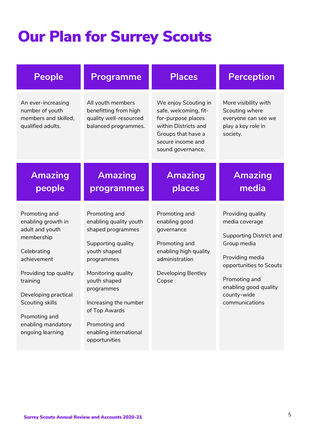# Our Plan for Surrey Scouts

| <b>People</b>                                                                                                                                                                                                                                 | <b>Programme</b>                                                                                                                                                                                                                                                           | <b>Places</b>                                                                                                                                               | <b>Perception</b>                                                                                                                                                                                      |
|-----------------------------------------------------------------------------------------------------------------------------------------------------------------------------------------------------------------------------------------------|----------------------------------------------------------------------------------------------------------------------------------------------------------------------------------------------------------------------------------------------------------------------------|-------------------------------------------------------------------------------------------------------------------------------------------------------------|--------------------------------------------------------------------------------------------------------------------------------------------------------------------------------------------------------|
| An ever-increasing<br>number of youth<br>members and skilled,<br>qualified adults.                                                                                                                                                            | All youth members<br>benefitting from high<br>quality well-resourced<br>balanced programmes.                                                                                                                                                                               | We enjoy Scouting in<br>safe, welcoming, fit-<br>for-purpose places<br>within Districts and<br>Groups that have a<br>secure income and<br>sound governance. | More visibility with<br>Scouting where<br>everyone can see we<br>play a key role in<br>society.                                                                                                        |
| <b>Amazing</b><br>people                                                                                                                                                                                                                      | <b>Amazing</b><br>programmes                                                                                                                                                                                                                                               | <b>Amazing</b><br>places                                                                                                                                    | <b>Amazing</b><br>media                                                                                                                                                                                |
| Promoting and<br>enabling growth in<br>adult and youth<br>membership<br>Celebrating<br>achievement<br>Providing top quality<br>training<br>Developing practical<br>Scouting skills<br>Promoting and<br>enabling mandatory<br>ongoing learning | Promoting and<br>enabling quality youth<br>shaped programmes<br>Supporting quality<br>youth shaped<br>programmes<br>Monitoring quality<br>youth shaped<br>programmes<br>Increasing the number<br>of Top Awards<br>Promoting and<br>enabling international<br>opportunities | Promoting and<br>enabling good<br>governance<br>Promoting and<br>enabling high quality<br>administration<br><b>Developing Bentley</b><br>Copse              | Providing quality<br>media coverage<br>Supporting District and<br>Group media<br>Providing media<br>opportunities to Scouts<br>Promoting and<br>enabling good quality<br>county-wide<br>communications |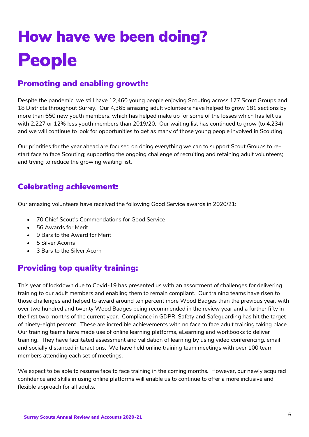# How have we been doing? People

## Promoting and enabling growth:

Despite the pandemic, we still have 12,460 young people enjoying Scouting across 177 Scout Groups and 18 Districts throughout Surrey. Our 4,365 amazing adult volunteers have helped to grow 181 sections by more than 650 new youth members, which has helped make up for some of the losses which has left us with 2,227 or 12% less youth members than 2019/20. Our waiting list has continued to grow (to 4,234) and we will continue to look for opportunities to get as many of those young people involved in Scouting.

Our priorities for the year ahead are focused on doing everything we can to support Scout Groups to restart face to face Scouting; supporting the ongoing challenge of recruiting and retaining adult volunteers; and trying to reduce the growing waiting list.

## Celebrating achievement:

Our amazing volunteers have received the following Good Service awards in 2020/21:

- 70 Chief Scout's Commendations for Good Service
- 56 Awards for Merit
- 9 Bars to the Award for Merit
- 5 Silver Acorns
- 3 Bars to the Silver Acorn

## Providing top quality training:

This year of lockdown due to Covid-19 has presented us with an assortment of challenges for delivering training to our adult members and enabling them to remain compliant. Our training teams have risen to those challenges and helped to award around ten percent more Wood Badges than the previous year, with over two hundred and twenty Wood Badges being recommended in the review year and a further fifty in the first two months of the current year. Compliance in GDPR, Safety and Safeguarding has hit the target of ninety-eight percent. These are incredible achievements with no face to face adult training taking place. Our training teams have made use of online learning platforms, eLearning and workbooks to deliver training. They have facilitated assessment and validation of learning by using video conferencing, email and socially distanced interactions. We have held online training team meetings with over 100 team members attending each set of meetings.

We expect to be able to resume face to face training in the coming months. However, our newly acquired confidence and skills in using online platforms will enable us to continue to offer a more inclusive and flexible approach for all adults.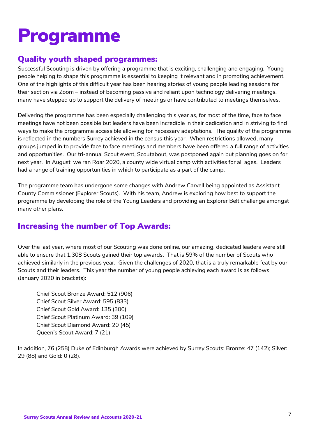# Programme

## Quality youth shaped programmes:

Successful Scouting is driven by offering a programme that is exciting, challenging and engaging. Young people helping to shape this programme is essential to keeping it relevant and in promoting achievement. One of the highlights of this difficult year has been hearing stories of young people leading sessions for their section via Zoom – instead of becoming passive and reliant upon technology delivering meetings, many have stepped up to support the delivery of meetings or have contributed to meetings themselves.

Delivering the programme has been especially challenging this year as, for most of the time, face to face meetings have not been possible but leaders have been incredible in their dedication and in striving to find ways to make the programme accessible allowing for necessary adaptations. The quality of the programme is reflected in the numbers Surrey achieved in the census this year. When restrictions allowed, many groups jumped in to provide face to face meetings and members have been offered a full range of activities and opportunities. Our tri-annual Scout event, Scoutabout, was postponed again but planning goes on for next year. In August, we ran Roar 2020, a county wide virtual camp with activities for all ages. Leaders had a range of training opportunities in which to participate as a part of the camp.

The programme team has undergone some changes with Andrew Carvell being appointed as Assistant County Commissioner (Explorer Scouts). With his team, Andrew is exploring how best to support the programme by developing the role of the Young Leaders and providing an Explorer Belt challenge amongst many other plans.

## Increasing the number of Top Awards:

Over the last year, where most of our Scouting was done online, our amazing, dedicated leaders were still able to ensure that 1,308 Scouts gained their top awards. That is 59% of the number of Scouts who achieved similarly in the previous year. Given the challenges of 2020, that is a truly remarkable feat by our Scouts and their leaders. This year the number of young people achieving each award is as follows (January 2020 in brackets):

Chief Scout Bronze Award: 512 (906) Chief Scout Silver Award: 595 (833) Chief Scout Gold Award: 135 (300) Chief Scout Platinum Award: 39 (109) Chief Scout Diamond Award: 20 (45) Queen's Scout Award: 7 (21)

In addition, 76 (258) Duke of Edinburgh Awards were achieved by Surrey Scouts: Bronze: 47 (142); Silver: 29 (88) and Gold: 0 (28).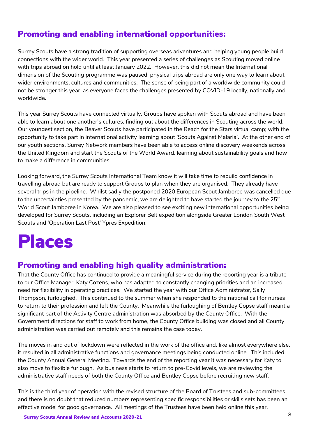## Promoting and enabling international opportunities:

Surrey Scouts have a strong tradition of supporting overseas adventures and helping young people build connections with the wider world. This year presented a series of challenges as Scouting moved online with trips abroad on hold until at least January 2022. However, this did not mean the International dimension of the Scouting programme was paused; physical trips abroad are only one way to learn about wider environments, cultures and communities. The sense of being part of a worldwide community could not be stronger this year, as everyone faces the challenges presented by COVID-19 locally, nationally and worldwide.

This year Surrey Scouts have connected virtually, Groups have spoken with Scouts abroad and have been able to learn about one another's cultures, finding out about the differences in Scouting across the world. Our youngest section, the Beaver Scouts have participated in the Reach for the Stars virtual camp; with the opportunity to take part in international activity learning about 'Scouts Against Malaria'. At the other end of our youth sections, Surrey Network members have been able to access online discovery weekends across the United Kingdom and start the Scouts of the World Award, learning about sustainability goals and how to make a difference in communities.

Looking forward, the Surrey Scouts International Team know it will take time to rebuild confidence in travelling abroad but are ready to support Groups to plan when they are organised. They already have several trips in the pipeline. Whilst sadly the postponed 2020 European Scout Jamboree was cancelled due to the uncertainties presented by the pandemic, we are delighted to have started the journey to the  $25<sup>th</sup>$ World Scout Jamboree in Korea. We are also pleased to see exciting new international opportunities being developed for Surrey Scouts, including an Explorer Belt expedition alongside Greater London South West Scouts and 'Operation Last Post' Ypres Expedition.

# Places

## Promoting and enabling high quality administration:

That the County Office has continued to provide a meaningful service during the reporting year is a tribute to our Office Manager, Katy Cozens, who has adapted to constantly changing priorities and an increased need for flexibility in operating practices. We started the year with our Office Administrator, Sally Thompson, furloughed. This continued to the summer when she responded to the national call for nurses to return to their profession and left the County. Meanwhile the furloughing of Bentley Copse staff meant a significant part of the Activity Centre administration was absorbed by the County Office. With the Government directions for staff to work from home, the County Office building was closed and all County administration was carried out remotely and this remains the case today.

The moves in and out of lockdown were reflected in the work of the office and, like almost everywhere else, it resulted in all administrative functions and governance meetings being conducted online. This included the County Annual General Meeting. Towards the end of the reporting year it was necessary for Katy to also move to flexible furlough. As business starts to return to pre-Covid levels, we are reviewing the administrative staff needs of both the County Office and Bentley Copse before recruiting new staff.

This is the third year of operation with the revised structure of the Board of Trustees and sub-committees and there is no doubt that reduced numbers representing specific responsibilities or skills sets has been an effective model for good governance. All meetings of the Trustees have been held online this year.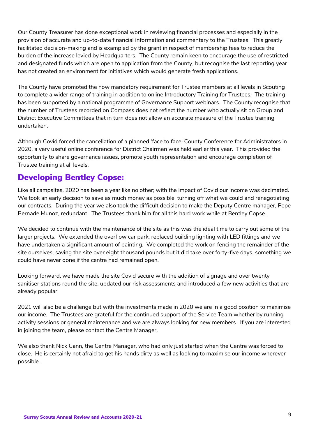Our County Treasurer has done exceptional work in reviewing financial processes and especially in the provision of accurate and up-to-date financial information and commentary to the Trustees. This greatly facilitated decision-making and is exampled by the grant in respect of membership fees to reduce the burden of the increase levied by Headquarters. The County remain keen to encourage the use of restricted and designated funds which are open to application from the County, but recognise the last reporting year has not created an environment for initiatives which would generate fresh applications.

The County have promoted the now mandatory requirement for Trustee members at all levels in Scouting to complete a wider range of training in addition to online Introductory Training for Trustees. The training has been supported by a national programme of Governance Support webinars. The County recognise that the number of Trustees recorded on Compass does not reflect the number who actually sit on Group and District Executive Committees that in turn does not allow an accurate measure of the Trustee training undertaken.

Although Covid forced the cancellation of a planned 'face to face' County Conference for Administrators in 2020, a very useful online conference for District Chairmen was held earlier this year. This provided the opportunity to share governance issues, promote youth representation and encourage completion of Trustee training at all levels.

## Developing Bentley Copse:

Like all campsites, 2020 has been a year like no other; with the impact of Covid our income was decimated. We took an early decision to save as much money as possible, turning off what we could and renegotiating our contracts. During the year we also took the difficult decision to make the Deputy Centre manager, Pepe Bernade Munoz, redundant. The Trustees thank him for all this hard work while at Bentley Copse.

We decided to continue with the maintenance of the site as this was the ideal time to carry out some of the larger projects. We extended the overflow car park, replaced building lighting with LED fittings and we have undertaken a significant amount of painting. We completed the work on fencing the remainder of the site ourselves, saving the site over eight thousand pounds but it did take over forty-five days, something we could have never done if the centre had remained open.

Looking forward, we have made the site Covid secure with the addition of signage and over twenty sanitiser stations round the site, updated our risk assessments and introduced a few new activities that are already popular.

2021 will also be a challenge but with the investments made in 2020 we are in a good position to maximise our income. The Trustees are grateful for the continued support of the Service Team whether by running activity sessions or general maintenance and we are always looking for new members. If you are interested in joining the team, please contact the Centre Manager.

We also thank Nick Cann, the Centre Manager, who had only just started when the Centre was forced to close. He is certainly not afraid to get his hands dirty as well as looking to maximise our income wherever possible.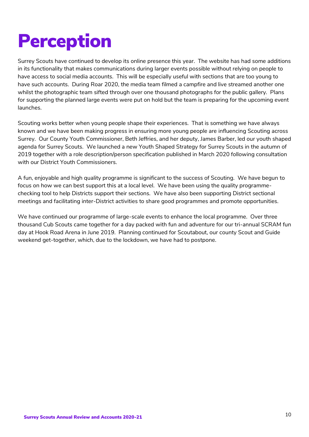# Perception

Surrey Scouts have continued to develop its online presence this year. The website has had some additions in its functionality that makes communications during larger events possible without relying on people to have access to social media accounts. This will be especially useful with sections that are too young to have such accounts. During Roar 2020, the media team filmed a campfire and live streamed another one whilst the photographic team sifted through over one thousand photographs for the public gallery. Plans for supporting the planned large events were put on hold but the team is preparing for the upcoming event launches.

Scouting works better when young people shape their experiences. That is something we have always known and we have been making progress in ensuring more young people are influencing Scouting across Surrey. Our County Youth Commissioner, Beth Jeffries, and her deputy, James Barber, led our youth shaped agenda for Surrey Scouts. We launched a new Youth Shaped Strategy for Surrey Scouts in the autumn of 2019 together with a role description/person specification published in March 2020 following consultation with our District Youth Commissioners.

A fun, enjoyable and high quality programme is significant to the success of Scouting. We have begun to focus on how we can best support this at a local level. We have been using the quality programmechecking tool to help Districts support their sections. We have also been supporting District sectional meetings and facilitating inter-District activities to share good programmes and promote opportunities.

We have continued our programme of large-scale events to enhance the local programme. Over three thousand Cub Scouts came together for a day packed with fun and adventure for our tri-annual SCRAM fun day at Hook Road Arena in June 2019. Planning continued for Scoutabout, our county Scout and Guide weekend get-together, which, due to the lockdown, we have had to postpone.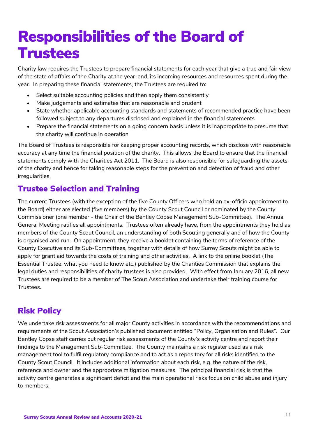# Responsibilities of the Board of **Trustees**

Charity law requires the Trustees to prepare financial statements for each year that give a true and fair view of the state of affairs of the Charity at the year-end, its incoming resources and resources spent during the year. In preparing these financial statements, the Trustees are required to:

- Select suitable accounting policies and then apply them consistently
- Make judgements and estimates that are reasonable and prudent
- State whether applicable accounting standards and statements of recommended practice have been followed subject to any departures disclosed and explained in the financial statements
- Prepare the financial statements on a going concern basis unless it is inappropriate to presume that the charity will continue in operation

The Board of Trustees is responsible for keeping proper accounting records, which disclose with reasonable accuracy at any time the financial position of the charity. This allows the Board to ensure that the financial statements comply with the Charities Act 2011. The Board is also responsible for safeguarding the assets of the charity and hence for taking reasonable steps for the prevention and detection of fraud and other irregularities.

## Trustee Selection and Training

The current Trustees (with the exception of the five County Officers who hold an ex-officio appointment to the Board) either are elected (five members) by the County Scout Council or nominated by the County Commissioner (one member - the Chair of the Bentley Copse Management Sub-Committee). The Annual General Meeting ratifies all appointments. Trustees often already have, from the appointments they hold as members of the County Scout Council, an understanding of both Scouting generally and of how the County is organised and run. On appointment, they receive a booklet containing the terms of reference of the County Executive and its Sub-Committees, together with details of how Surrey Scouts might be able to apply for grant aid towards the costs of training and other activities. A link to the online booklet (The Essential Trustee, what you need to know etc.) published by the Charities Commission that explains the legal duties and responsibilities of charity trustees is also provided. With effect from January 2016, all new Trustees are required to be a member of The Scout Association and undertake their training course for Trustees.

## Risk Policy

We undertake risk assessments for all major County activities in accordance with the recommendations and requirements of the Scout Association's published document entitled "Policy, Organisation and Rules". Our Bentley Copse staff carries out regular risk assessments of the County's activity centre and report their findings to the Management Sub-Committee. The County maintains a risk register used as a risk management tool to fulfil regulatory compliance and to act as a repository for all risks identified to the County Scout Council. It includes additional information about each risk, e.g. the nature of the risk, reference and owner and the appropriate mitigation measures. The principal financial risk is that the activity centre generates a significant deficit and the main operational risks focus on child abuse and injury to members.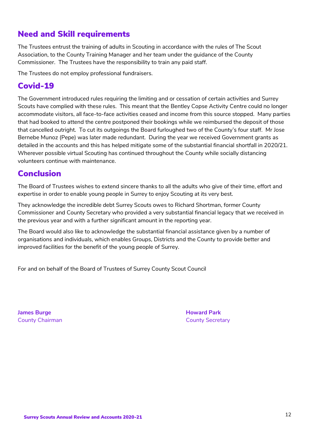## Need and Skill requirements

The Trustees entrust the training of adults in Scouting in accordance with the rules of The Scout Association, to the County Training Manager and her team under the guidance of the County Commissioner. The Trustees have the responsibility to train any paid staff.

The Trustees do not employ professional fundraisers.

## Covid-19

The Government introduced rules requiring the limiting and or cessation of certain activities and Surrey Scouts have complied with these rules. This meant that the Bentley Copse Activity Centre could no longer accommodate visitors, all face-to-face activities ceased and income from this source stopped. Many parties that had booked to attend the centre postponed their bookings while we reimbursed the deposit of those that cancelled outright. To cut its outgoings the Board furloughed two of the County's four staff. Mr Jose Bernebe Munoz (Pepe) was later made redundant. During the year we received Government grants as detailed in the accounts and this has helped mitigate some of the substantial financial shortfall in 2020/21. Wherever possible virtual Scouting has continued throughout the County while socially distancing volunteers continue with maintenance.

## Conclusion

The Board of Trustees wishes to extend sincere thanks to all the adults who give of their time, effort and expertise in order to enable young people in Surrey to enjoy Scouting at its very best.

They acknowledge the incredible debt Surrey Scouts owes to Richard Shortman, former County Commissioner and County Secretary who provided a very substantial financial legacy that we received in the previous year and with a further significant amount in the reporting year.

The Board would also like to acknowledge the substantial financial assistance given by a number of organisations and individuals, which enables Groups, Districts and the County to provide better and improved facilities for the benefit of the young people of Surrey.

For and on behalf of the Board of Trustees of Surrey County Scout Council

**James Burge Howard Park County Chairman County Secretary**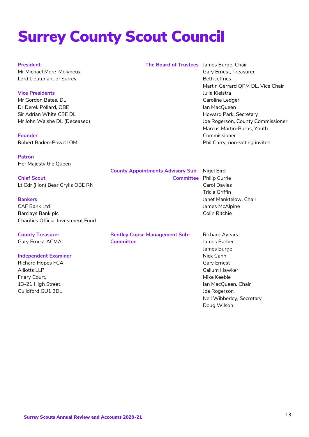# Surrey County Scout Council

#### **President**

Mr Michael More-Molyneux Lord Lieutenant of Surrey

#### **Vice Presidents**

Mr Gordon Bates, DL Dr Derek Pollard, OBE Sir Adrian White CBE DL Mr John Walshe DL (Deceased)

**Founder** Robert Baden-Powell OM

**Patron** Her Majesty the Queen

**Chief Scout** Lt Cdr (Hon) Bear Grylls OBE RN

#### **Bankers**

CAF Bank Ltd Barclays Bank plc Charities Official Investment Fund

**County Treasurer** Gary Ernest ACMA

#### **Independent Examiner**

Richard Hopes FCA Alliotts LLP Friary Court, 13-21 High Street, Guildford GU1 3DL

## Gary Ernest, Treasurer

**The Board of Trustees** James Burge, Chair

Beth Jeffries Martin Gerrard QPM DL, Vice Chair Julia Kielstra Caroline Ledger Ian MacQueen Howard Park, Secretary Joe Rogerson, County Commissioner Marcus Martin-Burns, Youth Commissioner Phil Curry, non-voting invitee

| <b>County Appointments Advisory Sub-</b> Nigel Bird |             |
|-----------------------------------------------------|-------------|
| <b>Committee</b> Philip Cur                         |             |
|                                                     | Carol Dav   |
|                                                     | Tricia Grif |
|                                                     | Janet Man   |
|                                                     | James Mc    |
|                                                     | Colin Ritcl |
|                                                     |             |

**Bentley Copse Management Sub-**

**Committee**

Currie Davies Griffin Manktelow, Chair McAlpine Ritchie

Richard Ayears James Barber James Burge Nick Cann Gary Ernest Callum Hawker Mike Keeble Ian MacQueen, Chair Joe Rogerson Neil Wibberley, Secretary Doug Wilson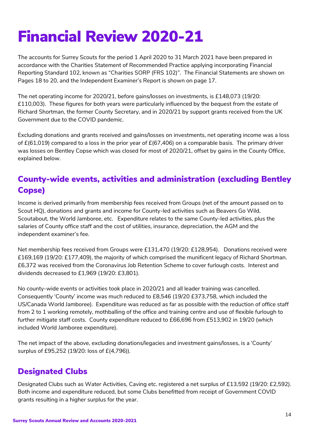# Financial Review 2020-21

The accounts for Surrey Scouts for the period 1 April 2020 to 31 March 2021 have been prepared in accordance with the Charities Statement of Recommended Practice applying incorporating Financial Reporting Standard 102, known as "Charities SORP (FRS 102)". The Financial Statements are shown on Pages 18 to 20, and the Independent Examiner's Report is shown on page 17.

The net operating income for 2020/21, before gains/losses on investments, is £148,073 (19/20: £110,003). These figures for both years were particularly influenced by the bequest from the estate of Richard Shortman, the former County Secretary, and in 2020/21 by support grants received from the UK Government due to the COVID pandemic.

Excluding donations and grants received and gains/losses on investments, net operating income was a loss of  $E(61,019)$  compared to a loss in the prior year of  $E(67,406)$  on a comparable basis. The primary driver was losses on Bentley Copse which was closed for most of 2020/21, offset by gains in the County Office, explained below.

## County-wide events, activities and administration (excluding Bentley Copse)

Income is derived primarily from membership fees received from Groups (net of the amount passed on to Scout HQ), donations and grants and income for County-led activities such as Beavers Go Wild, Scoutabout, the World Jamboree, etc. Expenditure relates to the same County-led activities, plus the salaries of County office staff and the cost of utilities, insurance, depreciation, the AGM and the independent examiner's fee.

Net membership fees received from Groups were £131,470 (19/20: £128,954). Donations received were £169,169 (19/20: £177,409), the majority of which comprised the munificent legacy of Richard Shortman. £6,372 was received from the Coronavirus Job Retention Scheme to cover furlough costs. Interest and dividends decreased to £1,969 (19/20: £3,801).

No county-wide events or activities took place in 2020/21 and all leader training was cancelled. Consequently 'County' income was much reduced to £8,546 (19/20 £373,758, which included the US/Canada World Jamboree). Expenditure was reduced as far as possible with the reduction of office staff from 2 to 1 working remotely, mothballing of the office and training centre and use of flexible furlough to further mitigate staff costs. County expenditure reduced to £66,696 from £513,902 in 19/20 (which included World Jamboree expenditure).

The net impact of the above, excluding donations/legacies and investment gains/losses, is a 'County' surplus of £95,252 (19/20: loss of £(4,796)).

## Designated Clubs

Designated Clubs such as Water Activities, Caving etc. registered a net surplus of £13,592 (19/20: £2,592). Both income and expenditure reduced, but some Clubs benefitted from receipt of Government COVID grants resulting in a higher surplus for the year.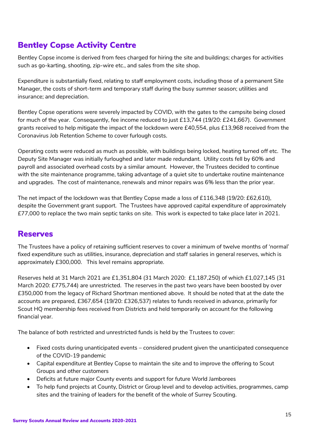## Bentley Copse Activity Centre

Bentley Copse income is derived from fees charged for hiring the site and buildings; charges for activities such as go-karting, shooting, zip-wire etc., and sales from the site shop.

Expenditure is substantially fixed, relating to staff employment costs, including those of a permanent Site Manager, the costs of short-term and temporary staff during the busy summer season; utilities and insurance; and depreciation.

Bentley Copse operations were severely impacted by COVID, with the gates to the campsite being closed for much of the year. Consequently, fee income reduced to just £13,744 (19/20: £241,667). Government grants received to help mitigate the impact of the lockdown were £40,554, plus £13,968 received from the Coronavirus Job Retention Scheme to cover furlough costs.

Operating costs were reduced as much as possible, with buildings being locked, heating turned off etc. The Deputy Site Manager was initially furloughed and later made redundant. Utility costs fell by 60% and payroll and associated overhead costs by a similar amount. However, the Trustees decided to continue with the site maintenance programme, taking advantage of a quiet site to undertake routine maintenance and upgrades. The cost of maintenance, renewals and minor repairs was 6% less than the prior year.

The net impact of the lockdown was that Bentley Copse made a loss of £116,348 (19/20: £62,610), despite the Government grant support. The Trustees have approved capital expenditure of approximately £77,000 to replace the two main septic tanks on site. This work is expected to take place later in 2021.

## Reserves

The Trustees have a policy of retaining sufficient reserves to cover a minimum of twelve months of 'normal' fixed expenditure such as utilities, insurance, depreciation and staff salaries in general reserves, which is approximately £300,000. This level remains appropriate.

Reserves held at 31 March 2021 are £1,351,804 (31 March 2020: £1,187,250) of which £1,027,145 (31 March 2020: £775,744) are unrestricted. The reserves in the past two years have been boosted by over £350,000 from the legacy of Richard Shortman mentioned above. It should be noted that at the date the accounts are prepared, £367,654 (19/20: £326,537) relates to funds received in advance, primarily for Scout HQ membership fees received from Districts and held temporarily on account for the following financial year.

The balance of both restricted and unrestricted funds is held by the Trustees to cover:

- Fixed costs during unanticipated events considered prudent given the unanticipated consequence of the COVID-19 pandemic
- Capital expenditure at Bentley Copse to maintain the site and to improve the offering to Scout Groups and other customers
- Deficits at future major County events and support for future World Jamborees
- To help fund projects at County, District or Group level and to develop activities, programmes, camp sites and the training of leaders for the benefit of the whole of Surrey Scouting.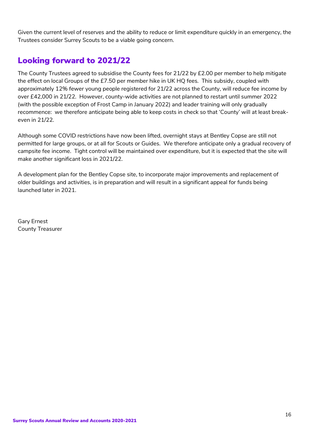Given the current level of reserves and the ability to reduce or limit expenditure quickly in an emergency, the Trustees consider Surrey Scouts to be a viable going concern.

## Looking forward to 2021/22

The County Trustees agreed to subsidise the County fees for 21/22 by £2.00 per member to help mitigate the effect on local Groups of the £7.50 per member hike in UK HQ fees. This subsidy, coupled with approximately 12% fewer young people registered for 21/22 across the County, will reduce fee income by over £42,000 in 21/22. However, county-wide activities are not planned to restart until summer 2022 (with the possible exception of Frost Camp in January 2022) and leader training will only gradually recommence: we therefore anticipate being able to keep costs in check so that 'County' will at least breakeven in 21/22.

Although some COVID restrictions have now been lifted, overnight stays at Bentley Copse are still not permitted for large groups, or at all for Scouts or Guides. We therefore anticipate only a gradual recovery of campsite fee income. Tight control will be maintained over expenditure, but it is expected that the site will make another significant loss in 2021/22.

A development plan for the Bentley Copse site, to incorporate major improvements and replacement of older buildings and activities, is in preparation and will result in a significant appeal for funds being launched later in 2021.

Gary Ernest County Treasurer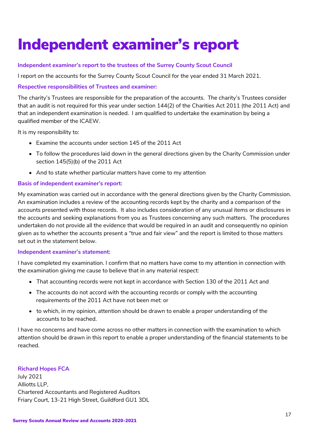# Independent examiner's report

#### **Independent examiner's report to the trustees of the Surrey County Scout Council**

I report on the accounts for the Surrey County Scout Council for the year ended 31 March 2021.

#### **Respective responsibilities of Trustees and examiner:**

The charity's Trustees are responsible for the preparation of the accounts. The charity's Trustees consider that an audit is not required for this year under section 144(2) of the Charities Act 2011 (the 2011 Act) and that an independent examination is needed. I am qualified to undertake the examination by being a qualified member of the ICAEW.

It is my responsibility to:

- Examine the accounts under section 145 of the 2011 Act
- To follow the procedures laid down in the general directions given by the Charity Commission under section 145(5)(b) of the 2011 Act
- And to state whether particular matters have come to my attention

#### **Basis of independent examiner's report:**

My examination was carried out in accordance with the general directions given by the Charity Commission. An examination includes a review of the accounting records kept by the charity and a comparison of the accounts presented with those records. It also includes consideration of any unusual items or disclosures in the accounts and seeking explanations from you as Trustees concerning any such matters. The procedures undertaken do not provide all the evidence that would be required in an audit and consequently no opinion given as to whether the accounts present a "true and fair view" and the report is limited to those matters set out in the statement below.

#### **Independent examiner's statement:**

I have completed my examination. I confirm that no matters have come to my attention in connection with the examination giving me cause to believe that in any material respect:

- That accounting records were not kept in accordance with Section 130 of the 2011 Act and
- The accounts do not accord with the accounting records or comply with the accounting requirements of the 2011 Act have not been met: or
- to which, in my opinion, attention should be drawn to enable a proper understanding of the accounts to be reached.

I have no concerns and have come across no other matters in connection with the examination to which attention should be drawn in this report to enable a proper understanding of the financial statements to be reached.

#### **Richard Hopes FCA**

July 2021 Alliotts LLP, Chartered Accountants and Registered Auditors Friary Court, 13-21 High Street, Guildford GU1 3DL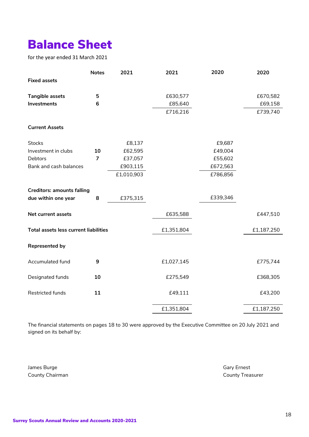## Balance Sheet

for the year ended 31 March 2021

|                                       | <b>Notes</b>   | 2021       | 2021       | 2020     | 2020       |
|---------------------------------------|----------------|------------|------------|----------|------------|
| <b>Fixed assets</b>                   |                |            |            |          |            |
| <b>Tangible assets</b>                | 5              |            | £630,577   |          | £670,582   |
| Investments                           | 6              |            | £85,640    |          | £69,158    |
|                                       |                |            | £716,216   |          | £739,740   |
| <b>Current Assets</b>                 |                |            |            |          |            |
| <b>Stocks</b>                         |                | £8,137     |            | £9,687   |            |
| Investment in clubs                   | 10             | £62,595    |            | £49,004  |            |
| Debtors                               | $\overline{7}$ | £37,057    |            | £55,602  |            |
| Bank and cash balances                |                | £903,115   |            | £672,563 |            |
|                                       |                | £1,010,903 |            | £786,856 |            |
| <b>Creditors: amounts falling</b>     |                |            |            |          |            |
| due within one year                   | 8              | £375,315   |            | £339,346 |            |
| Net current assets                    |                |            | £635,588   |          | £447,510   |
| Total assets less current liabilities |                |            | £1,351,804 |          | £1,187,250 |
| <b>Represented by</b>                 |                |            |            |          |            |
| Accumulated fund                      | 9              |            | £1,027,145 |          | £775,744   |
| Designated funds                      | 10             |            | £275,549   |          | £368,305   |
| Restricted funds                      | 11             |            | £49,111    |          | £43,200    |
|                                       |                |            | £1,351,804 |          | £1,187,250 |

The financial statements on pages 18 to 30 were approved by the Executive Committee on 20 July 2021 and signed on its behalf by:

James Burge Gary Ernest County Chairman County Treasurer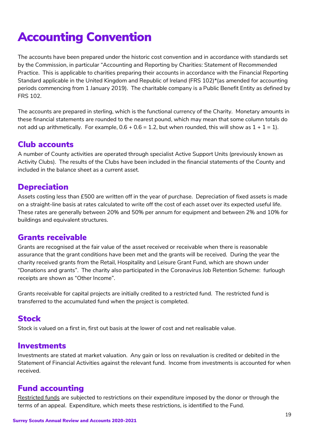## Accounting Convention

The accounts have been prepared under the historic cost convention and in accordance with standards set by the Commission, in particular "Accounting and Reporting by Charities: Statement of Recommended Practice. This is applicable to charities preparing their accounts in accordance with the Financial Reporting Standard applicable in the United Kingdom and Republic of Ireland (FRS 102)\*(as amended for accounting periods commencing from 1 January 2019). The charitable company is a Public Benefit Entity as defined by FRS 102.

The accounts are prepared in sterling, which is the functional currency of the Charity. Monetary amounts in these financial statements are rounded to the nearest pound, which may mean that some column totals do not add up arithmetically. For example,  $0.6 + 0.6 = 1.2$ , but when rounded, this will show as  $1 + 1 = 1$ ).

### Club accounts

A number of County activities are operated through specialist Active Support Units (previously known as Activity Clubs). The results of the Clubs have been included in the financial statements of the County and included in the balance sheet as a current asset.

## **Depreciation**

Assets costing less than £500 are written off in the year of purchase. Depreciation of fixed assets is made on a straight-line basis at rates calculated to write off the cost of each asset over its expected useful life. These rates are generally between 20% and 50% per annum for equipment and between 2% and 10% for buildings and equivalent structures.

## Grants receivable

Grants are recognised at the fair value of the asset received or receivable when there is reasonable assurance that the grant conditions have been met and the grants will be received. During the year the charity received grants from the Retail, Hospitality and Leisure Grant Fund, which are shown under "Donations and grants". The charity also participated in the Coronavirus Job Retention Scheme: furlough receipts are shown as "Other Income".

Grants receivable for capital projects are initially credited to a restricted fund. The restricted fund is transferred to the accumulated fund when the project is completed.

## **Stock**

Stock is valued on a first in, first out basis at the lower of cost and net realisable value.

### Investments

Investments are stated at market valuation. Any gain or loss on revaluation is credited or debited in the Statement of Financial Activities against the relevant fund. Income from investments is accounted for when received.

## Fund accounting

Restricted funds are subjected to restrictions on their expenditure imposed by the donor or through the terms of an appeal. Expenditure, which meets these restrictions, is identified to the Fund.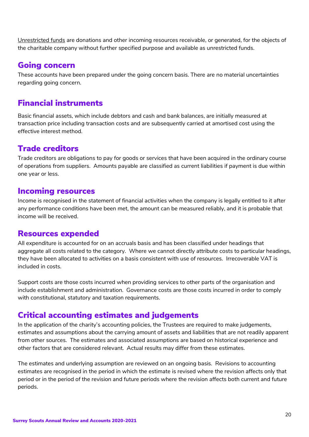Unrestricted funds are donations and other incoming resources receivable, or generated, for the objects of the charitable company without further specified purpose and available as unrestricted funds.

### Going concern

These accounts have been prepared under the going concern basis. There are no material uncertainties regarding going concern.

## Financial instruments

Basic financial assets, which include debtors and cash and bank balances, are initially measured at transaction price including transaction costs and are subsequently carried at amortised cost using the effective interest method.

## Trade creditors

Trade creditors are obligations to pay for goods or services that have been acquired in the ordinary course of operations from suppliers. Amounts payable are classified as current liabilities if payment is due within one year or less.

## Incoming resources

Income is recognised in the statement of financial activities when the company is legally entitled to it after any performance conditions have been met, the amount can be measured reliably, and it is probable that income will be received.

## Resources expended

All expenditure is accounted for on an accruals basis and has been classified under headings that aggregate all costs related to the category. Where we cannot directly attribute costs to particular headings, they have been allocated to activities on a basis consistent with use of resources. Irrecoverable VAT is included in costs.

Support costs are those costs incurred when providing services to other parts of the organisation and include establishment and administration. Governance costs are those costs incurred in order to comply with constitutional, statutory and taxation requirements.

## Critical accounting estimates and judgements

In the application of the charity's accounting policies, the Trustees are required to make judgements, estimates and assumptions about the carrying amount of assets and liabilities that are not readily apparent from other sources. The estimates and associated assumptions are based on historical experience and other factors that are considered relevant. Actual results may differ from these estimates.

The estimates and underlying assumption are reviewed on an ongoing basis. Revisions to accounting estimates are recognised in the period in which the estimate is revised where the revision affects only that period or in the period of the revision and future periods where the revision affects both current and future periods.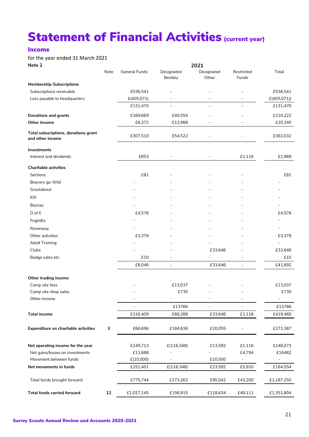## **Statement of Financial Activities (current year)**

#### Income

| Note 2                                                   |      |               |                              | 2021                     |                          |                              |
|----------------------------------------------------------|------|---------------|------------------------------|--------------------------|--------------------------|------------------------------|
|                                                          | Note | General Funds | Designated<br>Bentley        | Designated<br>Other      | Restricted<br>Funds      | Total                        |
| <b>Membership Subscriptions</b>                          |      |               |                              |                          |                          |                              |
| Subscriptions receivable                                 |      | £536,541      |                              |                          |                          | £536,541                     |
| Less payable to headquarters                             |      | E(405,071)    |                              |                          |                          | E(405,071)                   |
|                                                          |      | £131,470      |                              | $\overline{\phantom{a}}$ |                          | £131,470                     |
| Donations and grants                                     |      | £169,669      | £40,554                      |                          |                          | £210,222                     |
| <b>Other Income</b>                                      |      | £6,372        | £13,968                      |                          |                          | £20,340                      |
| Total subscriptions, donations grant<br>and other income |      | £307,510      | £54,522                      |                          |                          | £362,032                     |
| <b>Investments</b>                                       |      |               |                              |                          |                          |                              |
| Interest and dividends                                   |      | £853          |                              |                          | £1,116                   | £1,969                       |
| <b>Charitable activities</b>                             |      |               |                              |                          |                          |                              |
| Sections                                                 |      | £81           |                              |                          |                          | £81                          |
| Beavers go Wild                                          |      |               |                              |                          |                          |                              |
| Scoutabout                                               |      |               |                              |                          |                          |                              |
| <b>KIX</b>                                               |      |               |                              |                          |                          |                              |
| Bazzaz                                                   |      |               |                              |                          |                          |                              |
| $D$ of $E$                                               |      | £4,576        |                              |                          |                          | £4,576                       |
| FrightEx                                                 |      |               |                              |                          |                          |                              |
| Roverway                                                 |      |               |                              |                          |                          |                              |
| Other activities                                         |      | £3,379        |                              |                          |                          | £3,379                       |
| <b>Adult Training</b>                                    |      |               |                              |                          |                          |                              |
| Clubs                                                    |      |               |                              | £33,646                  |                          | £33,646                      |
| Badge sales etc.                                         |      | £10           |                              |                          |                          | £10                          |
|                                                          |      | £8,046        | $\qquad \qquad \blacksquare$ | £33,646                  | $\overline{\phantom{a}}$ | £41,692                      |
|                                                          |      |               |                              |                          |                          |                              |
| Other trading income<br>Camp site fees                   |      |               | £13,037                      |                          |                          | £13,037                      |
| Camp site shop sales                                     |      |               | £730                         |                          |                          | £730                         |
| Other income                                             |      |               |                              |                          | $\overline{\phantom{a}}$ | $\qquad \qquad \blacksquare$ |
|                                                          |      |               | £13766                       |                          |                          | £13766                       |
| <b>Total income</b>                                      |      | £316,409      | £68,288                      | £33,646                  | £1,116                   | £419,460                     |
| Expenditure on charitable activities                     | 3    | £66,696       | £184,636                     | £20,055                  |                          | £271,387                     |
|                                                          |      |               |                              |                          |                          |                              |
| Net operating income for the year                        |      | £249,713      | £(116,348)                   | £13,592                  | £1,116                   | £148,073                     |
| Net gains/losses on investments                          |      | £11,688       |                              |                          | £4,794                   | £16482                       |
| Movement between funds                                   |      | E(10,000)     |                              | £10,000                  |                          |                              |
| Net movements in funds                                   |      | £251,401      | £(116,348)                   | £23,592                  | £5,910                   | £164,554                     |
| Total funds brought forward                              |      | £775,744      | £273,263                     | £95,042                  | £43,200                  | £1,187,250                   |
| <b>Total funds carried forward</b>                       | 12   | £1,027,145    | £156,915                     | £118,634                 | £49,111                  | £1,351,804                   |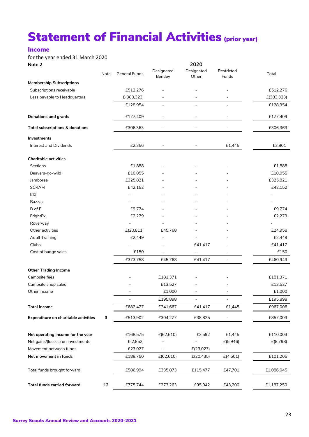## **Statement of Financial Activities (prior year)**

#### Income

| Note 2                               |      |                      |                          | 2020                |                          |            |
|--------------------------------------|------|----------------------|--------------------------|---------------------|--------------------------|------------|
|                                      | Note | <b>General Funds</b> | Designated<br>Bentley    | Designated<br>Other | Restricted<br>Funds      | Total      |
| <b>Membership Subscriptions</b>      |      |                      |                          |                     |                          |            |
| Subscriptions receivable             |      | £512,276             |                          |                     |                          | £512,276   |
| Less payable to Headquarters         |      | £(383,323)           |                          |                     |                          | £(383,323) |
|                                      |      | £128,954             |                          |                     |                          | £128,954   |
| Donations and grants                 |      | £177,409             | $\overline{a}$           |                     |                          | £177,409   |
| Total subscriptions & donations      |      | £306,363             |                          |                     |                          | £306,363   |
| <b>Investments</b>                   |      |                      |                          |                     |                          |            |
| Interest and Dividends               |      | £2,356               |                          |                     | £1,445                   | £3,801     |
| <b>Charitable activities</b>         |      |                      |                          |                     |                          |            |
| Sections                             |      | £1,888               |                          |                     |                          | £1,888     |
| Beavers-go-wild                      |      | £10,055              |                          |                     |                          | £10,055    |
| Jamboree                             |      | £325,821             |                          |                     |                          | £325,821   |
| <b>SCRAM</b>                         |      | £42,152              |                          |                     |                          | £42,152    |
| <b>KIX</b>                           |      |                      |                          |                     |                          |            |
| Bazzaz                               |      |                      |                          |                     |                          |            |
| D of E                               |      | £9,774               |                          |                     |                          | £9,774     |
| FrightEx                             |      | £2,279               |                          |                     |                          | £2,279     |
| Roverway                             |      |                      |                          |                     |                          |            |
| Other activities                     |      | E(20, 811)           | £45,768                  |                     |                          | £24,958    |
| <b>Adult Training</b>                |      | £2,449               |                          |                     |                          | £2,449     |
| Clubs                                |      |                      |                          | £41,417             |                          | £41,417    |
| Cost of badge sales                  |      | £150                 |                          |                     |                          | £150       |
|                                      |      | £373,758             | £45,768                  | £41,417             |                          | £460,943   |
| <b>Other Trading Income</b>          |      |                      |                          |                     |                          |            |
| Campsite fees                        |      |                      | £181,371                 |                     |                          | £181,371   |
| Campsite shop sales                  |      |                      | £13,527                  |                     |                          | £13,527    |
| Other income                         |      |                      | £1,000                   |                     |                          | £1,000     |
|                                      |      | $\overline{a}$       | £195,898                 | $\overline{a}$      |                          | £195,898   |
| <b>Total Income</b>                  |      | £682,477             | £241,667                 | £41,417             | £1,445                   | £967,006   |
| Expenditure on charitable activities | 3    | £513,902             | £304,277                 | £38,825             | $\blacksquare$           | £857,003   |
| Net operating income for the year    |      | £168,575             | E(62,610)                | £2,592              | £1,445                   | £110,003   |
| Net gains/(losses) on investments    |      | E(2,852)             |                          |                     | £(5,946)                 | £(8,798)   |
| Movement between funds               |      | £23,027              | $\overline{\phantom{a}}$ | £(23,027)           | $\overline{\phantom{m}}$ |            |
| Net movement in funds                |      | £188,750             | E(62,610)                | E(20, 435)          | £(4,501)                 | £101,205   |
| Total funds brought forward          |      | £586,994             | £335,873                 | £115,477            | £47,701                  | £1,086,045 |
| <b>Total funds carried forward</b>   | 12   |                      |                          |                     |                          |            |
|                                      |      | £775,744             | £273,263                 | £95,042             | £43,200                  | £1,187,250 |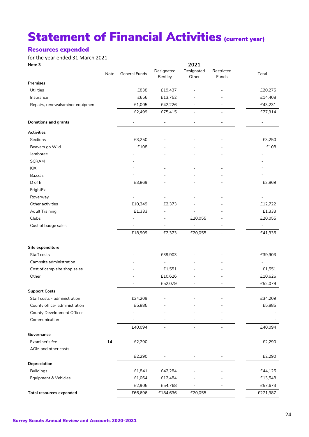# **Statement of Financial Activities (current year)**

#### Resources expended

| Note 3                            |      |                      |                          | 2021                     |                          |                          |
|-----------------------------------|------|----------------------|--------------------------|--------------------------|--------------------------|--------------------------|
|                                   | Note | <b>General Funds</b> | Designated<br>Bentley    | Designated<br>Other      | Restricted<br>Funds      | Total                    |
| <b>Premises</b>                   |      |                      |                          |                          |                          |                          |
| Utilities                         |      | £838                 | £19,437                  |                          |                          | £20,275                  |
| Insurance                         |      | £656                 | £13,752                  |                          |                          | £14,408                  |
| Repairs, renewals/minor equipment |      | £1,005               | £42,226                  | $\overline{\phantom{a}}$ | $\overline{\phantom{a}}$ | £43,231                  |
|                                   |      | £2,499               | £75,415                  | $\overline{\phantom{a}}$ | $\overline{\phantom{a}}$ | £77,914                  |
| Donations and grants              |      |                      |                          | $\overline{a}$           | $\overline{a}$           | $\overline{\phantom{a}}$ |
| <b>Activities</b>                 |      |                      |                          |                          |                          |                          |
| Sections                          |      | £3,250               |                          |                          |                          | £3,250                   |
| Beavers go Wild                   |      | £108                 |                          |                          |                          | £108                     |
| Jamboree                          |      |                      |                          |                          |                          |                          |
| <b>SCRAM</b>                      |      |                      |                          |                          |                          |                          |
| <b>KIX</b>                        |      |                      |                          |                          |                          |                          |
| Bazzaz                            |      |                      |                          |                          |                          |                          |
| D of E                            |      | £3,869               |                          |                          |                          | £3,869                   |
| FrightEx                          |      |                      |                          |                          |                          |                          |
| Roverway                          |      |                      |                          |                          |                          |                          |
| Other activities                  |      | £10,349              | £2,373                   |                          |                          | £12,722                  |
| <b>Adult Training</b>             |      | £1,333               |                          |                          |                          | £1,333                   |
| Clubs                             |      |                      |                          | £20,055                  |                          | £20,055                  |
| Cost of badge sales               |      |                      |                          |                          |                          |                          |
|                                   |      | £18,909              | £2,373                   | £20,055                  | $\overline{\phantom{a}}$ | £41,336                  |
| Site expenditure                  |      |                      |                          |                          |                          |                          |
| Staff costs                       |      |                      | £39,903                  |                          |                          | £39,903                  |
| Campsite administration           |      |                      |                          |                          |                          |                          |
| Cost of camp site shop sales      |      |                      | £1,551                   |                          |                          | £1,551                   |
| Other                             |      |                      | £10,626                  |                          | $\overline{\phantom{0}}$ | £10,626                  |
|                                   |      | $\frac{1}{2}$        | £52,079                  | $\overline{\phantom{a}}$ | $\overline{\phantom{a}}$ | £52,079                  |
| <b>Support Costs</b>              |      |                      |                          |                          |                          |                          |
| Staff costs - administration      |      | £34,209              |                          |                          |                          | £34,209                  |
| County office- administration     |      | £5,885               |                          |                          |                          | £5,885                   |
| County Development Officer        |      |                      |                          |                          |                          |                          |
| Communication                     |      |                      |                          |                          |                          |                          |
|                                   |      | £40,094              | $\overline{\phantom{a}}$ | $\overline{\phantom{0}}$ | $\overline{\phantom{a}}$ | £40,094                  |
| Governance                        |      |                      |                          |                          |                          |                          |
| Examiner's fee                    | 14   | £2,290               |                          |                          |                          | £2,290                   |
| AGM and other costs               |      |                      |                          |                          |                          |                          |
|                                   |      | £2,290               |                          |                          |                          | £2,290                   |
| Depreciation                      |      |                      |                          |                          |                          |                          |
| <b>Buildings</b>                  |      | £1,841               | £42,284                  |                          |                          | £44,125                  |
| Equipment & Vehicles              |      | £1,064               | £12,484                  |                          |                          | £13,548                  |
|                                   |      | £2,905               | £54,768                  | $\overline{\phantom{a}}$ | $\overline{\phantom{0}}$ | £57,673                  |
| Total resources expended          |      | £66,696              | £184,636                 | £20,055                  |                          | £271,387                 |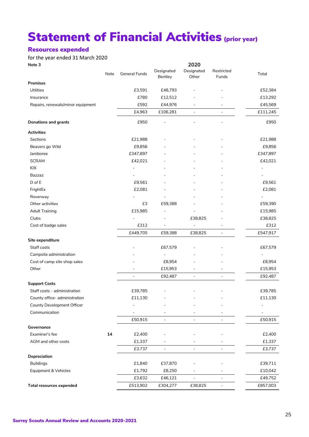## **Statement of Financial Activities (prior year)**

#### Resources expended

| Note 3                            |      |                      |                              | 2020                     |                              |          |
|-----------------------------------|------|----------------------|------------------------------|--------------------------|------------------------------|----------|
|                                   | Note | <b>General Funds</b> | Designated<br>Bentley        | Designated<br>Other      | Restricted<br>Funds          | Total    |
| <b>Premises</b>                   |      |                      |                              |                          |                              |          |
| Utilities                         |      | £3,591               | £48,793                      |                          |                              | £52,384  |
| Insurance                         |      | £780                 | £12,512                      |                          |                              | £13,292  |
| Repairs, renewals/minor equipment |      | £592                 | £44,976                      | -                        | $\overline{a}$               | £45,569  |
|                                   |      | £4,963               | £106,281                     | $\overline{\phantom{a}}$ | $\overline{a}$               | £111,245 |
| Donations and grants              |      | £950                 |                              |                          |                              | £950     |
| <b>Activities</b>                 |      |                      |                              |                          |                              |          |
| Sections                          |      | £21,988              |                              |                          |                              | £21,988  |
| Beavers go Wild                   |      | £9,856               |                              |                          |                              | £9,856   |
| Jamboree                          |      | £347,897             |                              |                          |                              | £347,897 |
| <b>SCRAM</b>                      |      | £42,021              |                              |                          |                              | £42,021  |
| KIX                               |      |                      |                              |                          |                              |          |
| Bazzaz                            |      |                      |                              |                          |                              |          |
| D of E                            |      | £9,561               |                              |                          |                              | £9,561   |
| FrightEx                          |      | £2,081               |                              |                          |                              | £2,081   |
| Roverway                          |      |                      |                              |                          |                              |          |
| Other activities                  |      | £3                   | £59,388                      |                          |                              | £59,390  |
| <b>Adult Training</b>             |      | £15,985              |                              |                          |                              | £15,985  |
| Clubs                             |      |                      |                              | £38,825                  |                              | £38,825  |
| Cost of badge sales               |      | £312                 |                              |                          |                              | £312     |
|                                   |      | £449,705             | £59,388                      | £38,825                  | $\overline{\phantom{a}}$     | £547,917 |
| Site expenditure                  |      |                      |                              |                          |                              |          |
| Staff costs                       |      |                      | £67,579                      |                          |                              | £67,579  |
| Campsite administration           |      |                      | $\qquad \qquad \blacksquare$ |                          |                              |          |
| Cost of camp site shop sales      |      |                      | £8,954                       |                          |                              | £8,954   |
| Other                             |      |                      | £15,953                      |                          | $\overline{\phantom{a}}$     | £15,953  |
|                                   |      | $\overline{a}$       | £92,487                      | $\overline{\phantom{a}}$ | $\qquad \qquad \blacksquare$ | £92,487  |
| <b>Support Costs</b>              |      |                      |                              |                          |                              |          |
| Staff costs - administration      |      | £39,785              |                              |                          |                              | £39,785  |
| County office- administration     |      | £11,130              |                              |                          |                              | £11,130  |
| County Development Officer        |      |                      |                              |                          |                              |          |
| Communication                     |      |                      |                              |                          |                              |          |
|                                   |      | £50,915              | $\overline{\phantom{a}}$     | $\overline{\phantom{0}}$ |                              | £50,915  |
| Governance                        |      |                      |                              |                          |                              |          |
| Examiner's fee                    | 14   | £2,400               |                              |                          |                              | £2,400   |
| AGM and other costs               |      | £1,337               |                              | $\overline{a}$           |                              | £1,337   |
|                                   |      | £3,737               | $\overline{\phantom{a}}$     | $\overline{\phantom{0}}$ | $\overline{\phantom{a}}$     | £3,737   |
| Depreciation                      |      |                      |                              |                          |                              |          |
| <b>Buildings</b>                  |      | £1,840               | £37,870                      |                          |                              | £39,711  |
| Equipment & Vehicles              |      | £1,792               | £8,250                       |                          | $\overline{\phantom{a}}$     | £10,042  |
|                                   |      | £3,632               | £46,121                      | $\overline{\phantom{m}}$ | $\overline{\phantom{a}}$     | £49,752  |
| <b>Total resources expended</b>   |      | £513,902             | £304,277                     | £38,825                  | $\overline{\phantom{a}}$     | £857,003 |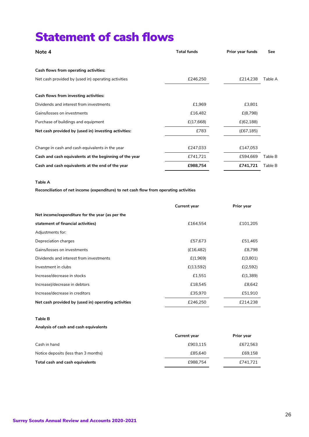## Statement of cash flows

| Note 4                                                 | <b>Total funds</b> | <b>Prior year funds</b> | See     |  |
|--------------------------------------------------------|--------------------|-------------------------|---------|--|
| Cash flows from operating activities:                  |                    |                         |         |  |
| Net cash provided by (used in) operating activities    | £246,250           | £214,238                | Table A |  |
| Cash flows from investing activities:                  |                    |                         |         |  |
| Dividends and interest from investments                | £1,969             | £3,801                  |         |  |
| Gains/losses on investments                            | £16,482            | E(8,798)                |         |  |
| Purchase of buildings and equipment                    | £(17,668)          | E(62, 188)              |         |  |
| Net cash provided by (used in) investing activities:   | £783               | (E67, 185)              |         |  |
|                                                        |                    |                         |         |  |
| Change in cash and cash equivalents in the year        | £247,033           | £147,053                |         |  |
| Cash and cash equivalents at the beginning of the year | £741,721           | £594,669                | Table B |  |
| Cash and cash equivalents at the end of the year       | £988,754           | £741.721                | Table B |  |

#### **Table A**

**Reconciliation of net income (expenditure) to net cash flow from operating activities**

|                                                     | <b>Current year</b> | <b>Prior year</b> |
|-----------------------------------------------------|---------------------|-------------------|
| Net income/expenditure for the year (as per the     |                     |                   |
| statement of financial activities)                  | £164.554            | £101,205          |
| Adjustments for:                                    |                     |                   |
| Depreciation charges                                | £57,673             | £51,465           |
| Gains/losses on investments                         | (E16, 482)          | £8,798            |
| Dividends and interest from investments             | £(1,969)            | E(3,801)          |
| Investment in clubs                                 | £(13,592)           | E(2,592)          |
| Increase/decrease in stocks                         | £1,551              | £(1,389)          |
| Increase)/decrease in debtors                       | £18,545             | £8,642            |
| Increase/decrease in creditors                      | £35,970             | £51,910           |
| Net cash provided by (used in) operating activities | £246.250            | £214.238          |

#### **Table B**

#### **Analysis of cash and cash equivalents**

|                                      | Current year | <b>Prior year</b> |
|--------------------------------------|--------------|-------------------|
| Cash in hand                         | £903.115     | £672.563          |
| Notice deposits (less than 3 months) | £85.640      | £69,158           |
| Total cash and cash equivalents      | £988.754     | £741.721          |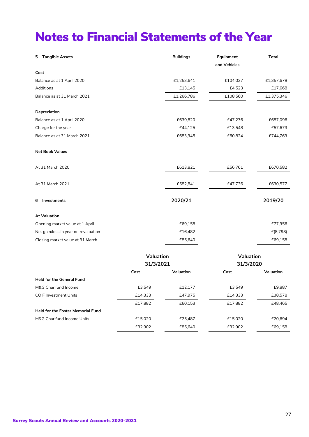| <b>Tangible Assets</b><br>5          | <b>Buildings</b>       | Equipment              | <b>Total</b> |
|--------------------------------------|------------------------|------------------------|--------------|
|                                      |                        | and Vehicles           |              |
| Cost                                 |                        |                        |              |
| Balance as at 1 April 2020           | £1,253,641             | £104,037               | £1,357,678   |
| Additions                            | £13,145                | £4,523                 | £17,668      |
| Balance as at 31 March 2021          | £1,266,786             | £108,560               | £1,375,346   |
| Depreciation                         |                        |                        |              |
| Balance as at 1 April 2020           | £639,820               | £47,276                | £687,096     |
| Charge for the year                  | £44,125                | £13,548                | £57,673      |
| Balance as at 31 March 2021          | £683,945               | £60,824                | £744,769     |
| <b>Net Book Values</b>               |                        |                        |              |
| At 31 March 2020                     | £613,821               | £56,761                | £670,582     |
| At 31 March 2021                     | £582,841               | £47,736                | £630,577     |
| Investments<br>6                     | 2020/21                |                        | 2019/20      |
| <b>At Valuation</b>                  |                        |                        |              |
| Opening market value at 1 April      | £69,158                |                        | £77,956      |
| Net gain/loss in year on revaluation | £16,482                |                        | E(8,798)     |
| Closing market value at 31 March     | £85,640                |                        | £69,158      |
|                                      | Valuation<br>21/2/2021 | Valuation<br>21/2/2020 |              |

|                                          | 31/3/2021 |           | 31/3/2020 |           |
|------------------------------------------|-----------|-----------|-----------|-----------|
|                                          | Cost      | Valuation | Cost      | Valuation |
| <b>Held for the General Fund</b>         |           |           |           |           |
| M&G Charifund Income                     | £3.549    | £12.177   | £3.549    | £9,887    |
| COIF Investment Units                    | £14.333   | £47.975   | £14.333   | £38,578   |
|                                          | £17,882   | £60,153   | £17,882   | £48,465   |
| <b>Held for the Foster Memorial Fund</b> |           |           |           |           |
| M&G Charifund Income Units               | £15,020   | £25,487   | £15,020   | £20.694   |
|                                          | £32,902   | £85,640   | £32,902   | £69.158   |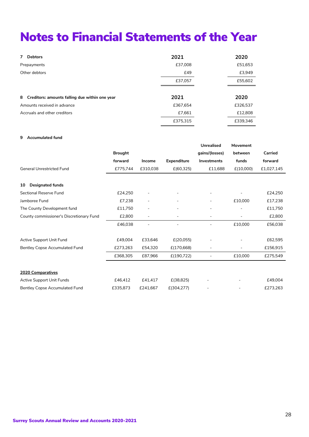| <b>Debtors</b><br>7                              | 2021     | 2020     |
|--------------------------------------------------|----------|----------|
| Prepayments                                      | £37,008  | £51,653  |
| Other debtors                                    | £49      | £3,949   |
|                                                  | £37.057  | £55,602  |
|                                                  |          |          |
| 8 Creditors: amounts falling due within one year | 2021     | 2020     |
| Amounts received in advance                      | £367,654 | £326,537 |
| Accruals and other creditors                     | £7,661   | £12,808  |
|                                                  | £375,315 | £339.346 |

#### **9 Accumulated fund**

|                                          |                |                          |                          | <b>Unrealised</b>  | Movement  |            |
|------------------------------------------|----------------|--------------------------|--------------------------|--------------------|-----------|------------|
|                                          | <b>Brought</b> |                          |                          | gains/(losses)     | between   | Carried    |
|                                          | forward        | Income                   | <b>Expenditure</b>       | <b>Investments</b> | funds     | forward    |
| <b>General Unrestricted Fund</b>         | £775,744       | £310,038                 | E(60, 325)               | £11,688            | E(10,000) | £1,027,145 |
| <b>Designated funds</b><br>10            |                |                          |                          |                    |           |            |
| Sectional Reserve Fund                   | £24,250        |                          |                          |                    |           | £24,250    |
| Jamboree Fund                            | £7,238         | $\overline{\phantom{a}}$ | $\overline{\phantom{0}}$ |                    | £10,000   | £17,238    |
| The County Development fund              | £11,750        |                          | $\overline{\phantom{0}}$ |                    |           | £11,750    |
| County commissioner's Discretionary Fund | £2,800         | $\overline{\phantom{a}}$ |                          |                    |           | £2,800     |
|                                          | £46,038        |                          | ۳                        |                    | £10,000   | £56,038    |
| Active Support Unit Fund                 | £49,004        | £33,646                  | E(20,055)                |                    |           | £62,595    |
| <b>Bentley Copse Accumulated Fund</b>    | £273,263       | £54,320                  | £(170,668)               |                    |           | £156,915   |
|                                          | £368,305       | £87,966                  | £(190,722)               |                    | £10,000   | £275,549   |
|                                          |                |                          |                          |                    |           |            |
| 2020 Comparatives                        |                |                          |                          |                    |           |            |
| <b>Active Support Unit Funds</b>         | £46,412        | £41,417                  | £(38,825)                |                    |           | £49,004    |
| <b>Bentley Copse Accumulated Fund</b>    | £335,873       | £241,667                 | E(304, 277)              |                    |           | £273,263   |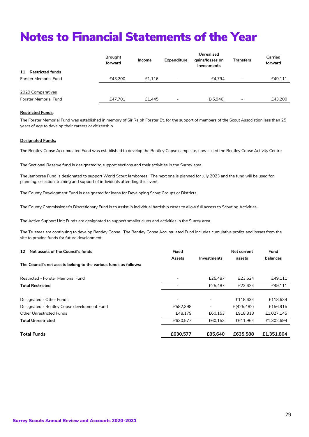|                               | <b>Brought</b><br>forward | <b>Income</b> | Expenditure              | <b>Unrealised</b><br>gains/losses on<br><b>Investments</b> | Transfers                | Carried<br>forward |
|-------------------------------|---------------------------|---------------|--------------------------|------------------------------------------------------------|--------------------------|--------------------|
| <b>Restricted funds</b><br>11 |                           |               |                          |                                                            |                          |                    |
| <b>Forster Memorial Fund</b>  | £43.200                   | £1.116        | $\overline{\phantom{a}}$ | £4.794                                                     | $\overline{\phantom{a}}$ | £49,111            |
|                               |                           |               |                          |                                                            |                          |                    |
| 2020 Comparatives             |                           |               |                          |                                                            |                          |                    |
| <b>Forster Memorial Fund</b>  | £47.701                   | £1.445        |                          | £(5,946)                                                   | -                        | £43,200            |
|                               |                           |               |                          |                                                            |                          |                    |

#### **Restricted Funds:**

The Forster Memorial Fund was established in memory of Sir Ralph Forster Bt. for the support of members of the Scout Association less than 25 years of age to develop their careers or citizenship.

#### **Designated Funds:**

The Bentley Copse Accumulated Fund was established to develop the Bentley Copse camp site, now called the Bentley Copse Activity Centre

The Sectional Reserve fund is designated to support sections and their activities in the Surrey area.

The Jamboree Fund is designated to support World Scout Jamborees. The next one is planned for July 2023 and the fund will be used for planning, selection, training and support of individuals attending this event.

The County Development Fund is designated for loans for Developing Scout Groups or Districts.

The County Commissioner's Discretionary Fund is to assist in individual hardship cases to allow full access to Scouting Activities.

The Active Support Unit Funds are designated to support smaller clubs and activities in the Surrey area.

The Trustees are continuing to develop Bentley Copse. The Bentley Copse Accumulated Fund includes cumulative profits and losses from the site to provide funds for future development.

| Net assets of the Council's funds<br>12                          | Fixed<br>Assets | <b>Investments</b> | Net current<br>assets | Fund<br>balances |
|------------------------------------------------------------------|-----------------|--------------------|-----------------------|------------------|
| The Council's net assets belong to the various funds as follows: |                 |                    |                       |                  |
| Restricted - Forster Memorial Fund                               |                 | £25.487            | £23.624               | £49,111          |
| <b>Total Restricted</b>                                          |                 | £25.487            | £23.624               | £49,111          |
|                                                                  |                 |                    |                       |                  |
| Designated - Other Funds                                         | ٠               |                    | £118.634              | £118,634         |
| Designated - Bentley Copse development Fund                      | £582.398        | ۰.                 | £(425, 482)           | £156,915         |
| Other Unrestricted Funds                                         | £48.179         | £60.153            | £918.813              | £1,027,145       |
| <b>Total Unrestricted</b>                                        | £630.577        | £60.153            | £611.964              | £1,302,694       |
| <b>Total Funds</b>                                               | £630,577        | £85.640            | £635,588              | £1,351,804       |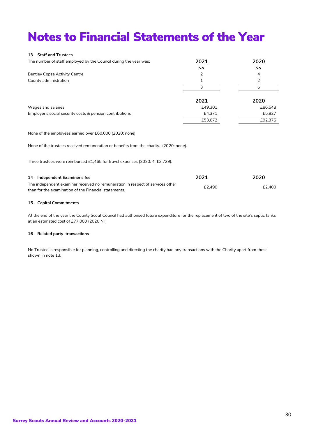#### **13 Staff and Trustees**

| The number of staff employed by the Council during the year was: | 2021    | 2020    |
|------------------------------------------------------------------|---------|---------|
|                                                                  | No.     | No.     |
| <b>Bentley Copse Activity Centre</b>                             |         | 4       |
| County administration                                            |         |         |
|                                                                  |         | 6       |
|                                                                  | 2021    | 2020    |
| Wages and salaries                                               | £49,301 | £86,548 |
| Employer's social security costs & pension contributions         | £4,371  | £5,827  |
|                                                                  | £53,672 | £92.375 |

None of the employees earned over £60,000 (2020: none)

None of the trustees received remuneration or benefits from the charity. (2020: none).

Three trustees were reimbursed £1,465 for travel expenses (2020: 4, £3,729).

| 14 Independent Examiner's fee                                                                                                           | 2021   | 2020   |
|-----------------------------------------------------------------------------------------------------------------------------------------|--------|--------|
| The independent examiner received no remuneration in respect of services other<br>than for the examination of the Financial statements. | £2.490 | £2.400 |

#### **15 Capital Commitments**

At the end of the year the County Scout Council had authorised future expenditure for the replacement of two of the site's septic tanks at an estimated cost of £77,000 (2020 Nil)

#### **16 Related party transactions**

No Trustee is responsible for planning, controlling and directing the charity had any transactions with the Charity apart from those shown in note 13.